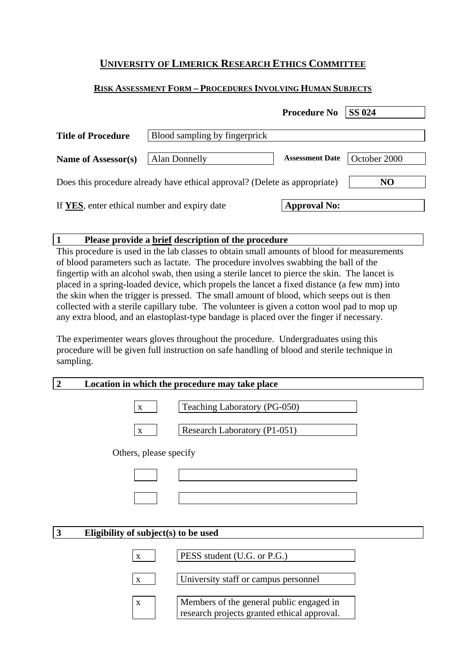# **UNIVERSITY OF LIMERICK RESEARCH ETHICS COMMITTEE**

## **RISK ASSESSMENT FORM – PROCEDURES INVOLVING HUMAN SUBJECTS**

|                                                                            |                               | <b>Procedure No</b>    | <b>SS 024</b> |
|----------------------------------------------------------------------------|-------------------------------|------------------------|---------------|
| <b>Title of Procedure</b>                                                  | Blood sampling by fingerprick |                        |               |
| Name of Assessor(s)                                                        | <b>Alan Donnelly</b>          | <b>Assessment Date</b> | October 2000  |
| Does this procedure already have ethical approval? (Delete as appropriate) |                               | N <sub>O</sub>         |               |
| If YES, enter ethical number and expiry date                               |                               | <b>Approval No:</b>    |               |

### **1 Please provide a brief description of the procedure**

This procedure is used in the lab classes to obtain small amounts of blood for measurements of blood parameters such as lactate. The procedure involves swabbing the ball of the fingertip with an alcohol swab, then using a sterile lancet to pierce the skin. The lancet is placed in a spring-loaded device, which propels the lancet a fixed distance (a few mm) into the skin when the trigger is pressed. The small amount of blood, which seeps out is then collected with a sterile capillary tube. The volunteer is given a cotton wool pad to mop up any extra blood, and an elastoplast-type bandage is placed over the finger if necessary.

The experimenter wears gloves throughout the procedure. Undergraduates using this procedure will be given full instruction on safe handling of blood and sterile technique in sampling.

#### **2 Location in which the procedure may take place**

| Teaching Laboratory (PG-050) |
|------------------------------|
|                              |
| Research Laboratory (P1-051) |

Others, please specify

### **3 Eligibility of subject(s) to be used**

| <b>PESS</b> student (U.G. or P.G.)   |
|--------------------------------------|
| University staff or campus personnel |

x | Members of the general public engaged in research projects granted ethical approval.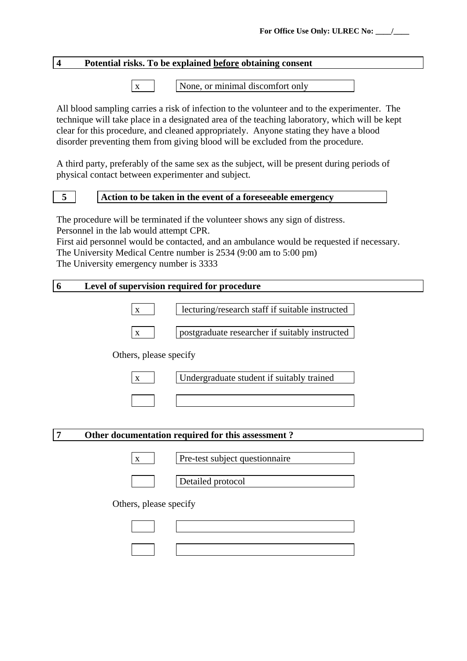## **4 Potential risks. To be explained before obtaining consent**

 $x \mid$  None, or minimal discomfort only

All blood sampling carries a risk of infection to the volunteer and to the experimenter. The technique will take place in a designated area of the teaching laboratory, which will be kept clear for this procedure, and cleaned appropriately. Anyone stating they have a blood disorder preventing them from giving blood will be excluded from the procedure.

A third party, preferably of the same sex as the subject, will be present during periods of physical contact between experimenter and subject.

# **5 Action to be taken in the event of a foreseeable emergency**

The procedure will be terminated if the volunteer shows any sign of distress. Personnel in the lab would attempt CPR.

First aid personnel would be contacted, and an ambulance would be requested if necessary. The University Medical Centre number is 2534 (9:00 am to 5:00 pm) The University emergency number is 3333

### **6 Level of supervision required for procedure**